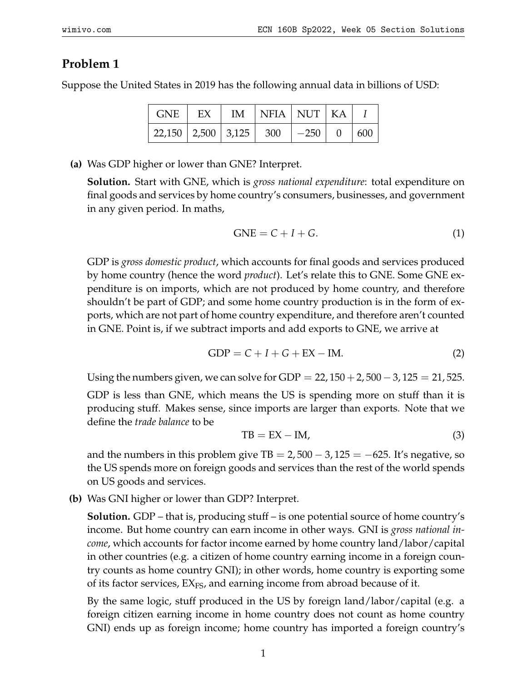## **Problem 1**

Suppose the United States in 2019 has the following annual data in billions of USD:

| <b>GNE</b>                   | EX | IM | $\vert$ NFIA $\vert$ NUT $\vert$ KA |        |          |     |
|------------------------------|----|----|-------------------------------------|--------|----------|-----|
| 22,150   2,500   3,125   300 |    |    |                                     | $-250$ | $\Omega$ | 600 |

**(a)** Was GDP higher or lower than GNE? Interpret.

**Solution.** Start with GNE, which is *gross national expenditure*: total expenditure on final goods and services by home country's consumers, businesses, and government in any given period. In maths,

$$
GNE = C + I + G. \tag{1}
$$

GDP is *gross domestic product*, which accounts for final goods and services produced by home country (hence the word *product*). Let's relate this to GNE. Some GNE expenditure is on imports, which are not produced by home country, and therefore shouldn't be part of GDP; and some home country production is in the form of exports, which are not part of home country expenditure, and therefore aren't counted in GNE. Point is, if we subtract imports and add exports to GNE, we arrive at

$$
GDP = C + I + G + EX - IM.
$$
 (2)

Using the numbers given, we can solve for GDP =  $22$ ,  $150 + 2$ ,  $500 - 3$ ,  $125 = 21$ , 525.

GDP is less than GNE, which means the US is spending more on stuff than it is producing stuff. Makes sense, since imports are larger than exports. Note that we define the *trade balance* to be

$$
TB = EX - IM,
$$
\n(3)

and the numbers in this problem give TB =  $2,500 - 3,125 = -625$ . It's negative, so the US spends more on foreign goods and services than the rest of the world spends on US goods and services.

**(b)** Was GNI higher or lower than GDP? Interpret.

**Solution.** GDP – that is, producing stuff – is one potential source of home country's income. But home country can earn income in other ways. GNI is *gross national income*, which accounts for factor income earned by home country land/labor/capital in other countries (e.g. a citizen of home country earning income in a foreign country counts as home country GNI); in other words, home country is exporting some of its factor services,  $EX_{FS}$ , and earning income from abroad because of it.

By the same logic, stuff produced in the US by foreign land/labor/capital (e.g. a foreign citizen earning income in home country does not count as home country GNI) ends up as foreign income; home country has imported a foreign country's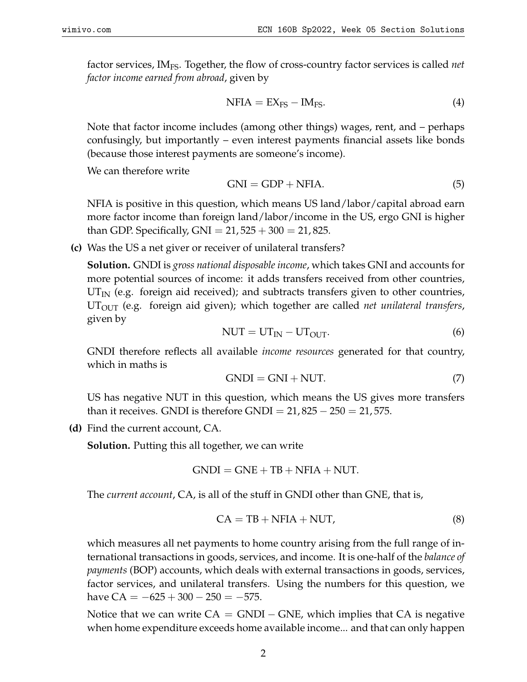factor services, IMFS. Together, the flow of cross-country factor services is called *net factor income earned from abroad*, given by

$$
NFA = EX_{FS} - IM_{FS}.
$$
 (4)

Note that factor income includes (among other things) wages, rent, and – perhaps confusingly, but importantly – even interest payments financial assets like bonds (because those interest payments are someone's income).

We can therefore write

$$
GNI = GDP + NFIA.
$$
\n(5)

NFIA is positive in this question, which means US land/labor/capital abroad earn more factor income than foreign land/labor/income in the US, ergo GNI is higher than GDP. Specifically,  $GNI = 21,525 + 300 = 21,825$ .

**(c)** Was the US a net giver or receiver of unilateral transfers?

**Solution.** GNDI is *gross national disposable income*, which takes GNI and accounts for more potential sources of income: it adds transfers received from other countries,  $UT_{IN}$  (e.g. foreign aid received); and subtracts transfers given to other countries, UTOUT (e.g. foreign aid given); which together are called *net unilateral transfers*, given by

$$
NUT = UT_{IN} - UT_{OUT}.
$$
 (6)

GNDI therefore reflects all available *income resources* generated for that country, which in maths is

$$
GNDI = GNI + NUT.
$$
\n(7)

US has negative NUT in this question, which means the US gives more transfers than it receives. GNDI is therefore GNDI =  $21,825 - 250 = 21,575$ .

**(d)** Find the current account, CA.

**Solution.** Putting this all together, we can write

$$
GNDI = GNE + TB + NFIA + NUT.
$$

The *current account*, CA, is all of the stuff in GNDI other than GNE, that is,

$$
CA = TB + NFIA + NUT,
$$
\n(8)

which measures all net payments to home country arising from the full range of international transactions in goods, services, and income. It is one-half of the *balance of payments* (BOP) accounts, which deals with external transactions in goods, services, factor services, and unilateral transfers. Using the numbers for this question, we have  $CA = -625 + 300 - 250 = -575$ .

Notice that we can write  $CA = GNDI - GNE$ , which implies that CA is negative when home expenditure exceeds home available income... and that can only happen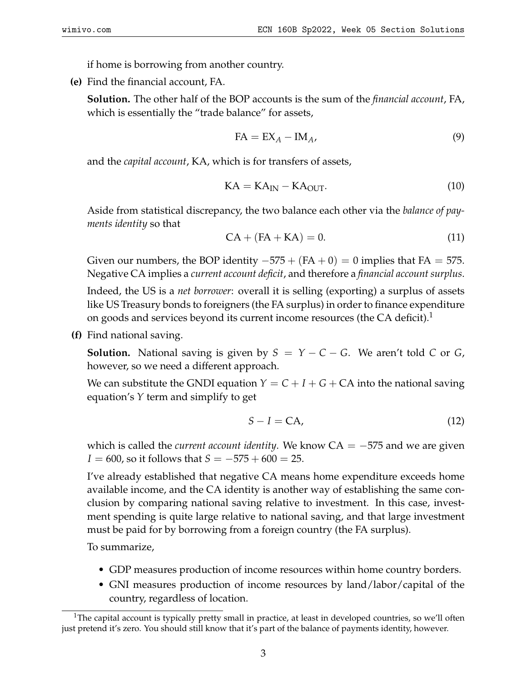if home is borrowing from another country.

**(e)** Find the financial account, FA.

**Solution.** The other half of the BOP accounts is the sum of the *financial account*, FA, which is essentially the "trade balance" for assets,

$$
FA = EX_A - IM_A, \t\t(9)
$$

and the *capital account*, KA, which is for transfers of assets,

$$
KA = KAIN - KAOUT.
$$
 (10)

Aside from statistical discrepancy, the two balance each other via the *balance of payments identity* so that

$$
CA + (FA + KA) = 0.
$$
\n<sup>(11)</sup>

Given our numbers, the BOP identity  $-575 + (FA + 0) = 0$  implies that FA = 575. Negative CA implies a *current account deficit*, and therefore a *financial account surplus*.

Indeed, the US is a *net borrower*: overall it is selling (exporting) a surplus of assets like US Treasury bonds to foreigners (the FA surplus) in order to finance expenditure on goods and services beyond its current income resources (the CA deficit).<sup>[1](#page-2-0)</sup>

**(f)** Find national saving.

**Solution.** National saving is given by  $S = Y - C - G$ . We aren't told C or G, however, so we need a different approach.

We can substitute the GNDI equation  $Y = C + I + G + CA$  into the national saving equation's *Y* term and simplify to get

$$
S - I = CA,\tag{12}
$$

which is called the *current account identity*. We know  $CA = -575$  and we are given *I* = 600, so it follows that *S* = −575 + 600 = 25.

I've already established that negative CA means home expenditure exceeds home available income, and the CA identity is another way of establishing the same conclusion by comparing national saving relative to investment. In this case, investment spending is quite large relative to national saving, and that large investment must be paid for by borrowing from a foreign country (the FA surplus).

To summarize,

- GDP measures production of income resources within home country borders.
- GNI measures production of income resources by land/labor/capital of the country, regardless of location.

<span id="page-2-0"></span><sup>&</sup>lt;sup>1</sup>The capital account is typically pretty small in practice, at least in developed countries, so we'll often just pretend it's zero. You should still know that it's part of the balance of payments identity, however.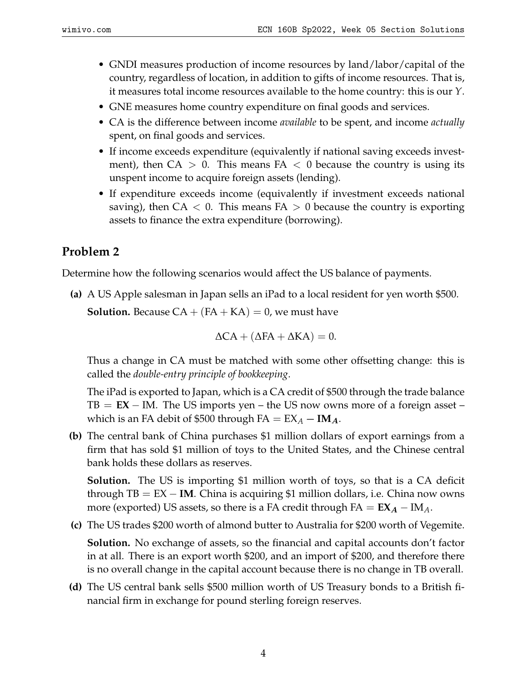- GNDI measures production of income resources by land/labor/capital of the country, regardless of location, in addition to gifts of income resources. That is, it measures total income resources available to the home country: this is our *Y*.
- GNE measures home country expenditure on final goods and services.
- CA is the difference between income *available* to be spent, and income *actually* spent, on final goods and services.
- If income exceeds expenditure (equivalently if national saving exceeds investment), then  $CA > 0$ . This means  $FA < 0$  because the country is using its unspent income to acquire foreign assets (lending).
- If expenditure exceeds income (equivalently if investment exceeds national saving), then  $CA < 0$ . This means  $FA > 0$  because the country is exporting assets to finance the extra expenditure (borrowing).

## **Problem 2**

Determine how the following scenarios would affect the US balance of payments.

**(a)** A US Apple salesman in Japan sells an iPad to a local resident for yen worth \$500. **Solution.** Because  $CA + (FA + KA) = 0$ , we must have

$$
\Delta CA + (\Delta FA + \Delta KA) = 0.
$$

Thus a change in CA must be matched with some other offsetting change: this is called the *double-entry principle of bookkeeping*.

The iPad is exported to Japan, which is a CA credit of \$500 through the trade balance  $TB = EX - IM$ . The US imports yen – the US now owns more of a foreign asset – which is an FA debit of \$500 through  $FA = EX_A - IM_A$ .

**(b)** The central bank of China purchases \$1 million dollars of export earnings from a firm that has sold \$1 million of toys to the United States, and the Chinese central bank holds these dollars as reserves.

**Solution.** The US is importing \$1 million worth of toys, so that is a CA deficit through TB = EX − **IM**. China is acquiring \$1 million dollars, i.e. China now owns more (exported) US assets, so there is a FA credit through  $FA = EX_A - IM_A$ .

**(c)** The US trades \$200 worth of almond butter to Australia for \$200 worth of Vegemite.

**Solution.** No exchange of assets, so the financial and capital accounts don't factor in at all. There is an export worth \$200, and an import of \$200, and therefore there is no overall change in the capital account because there is no change in TB overall.

**(d)** The US central bank sells \$500 million worth of US Treasury bonds to a British financial firm in exchange for pound sterling foreign reserves.